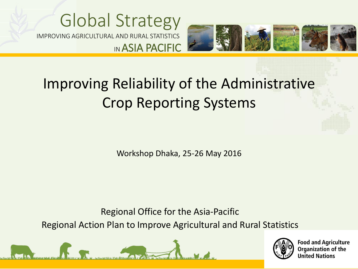### Global Strategy IMPROVING AGRICULTURAL AND RURAL STATISTICS IN ASIA PACIFIC



### Improving Reliability of the Administrative Crop Reporting Systems

Workshop Dhaka, 25-26 May 2016

Regional Office for the Asia-Pacific

Regional Action Plan to Improve Agricultural and Rural Statistics





**Food and Agriculture Organization of the United Nations**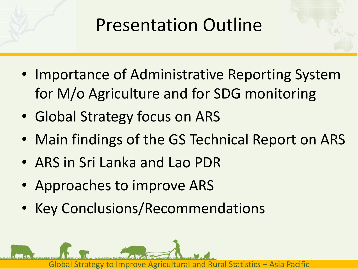## Presentation Outline

- Importance of Administrative Reporting System for M/o Agriculture and for SDG monitoring
- Global Strategy focus on ARS
- Main findings of the GS Technical Report on ARS
- ARS in Sri Lanka and Lao PDR
- Approaches to improve ARS
- Key Conclusions/Recommendations

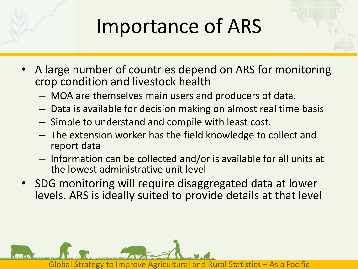# Importance of ARS

- A large number of countries depend on ARS for monitoring crop condition and livestock health
	- MOA are themselves main users and producers of data.
	- Data is available for decision making on almost real time basis
	- Simple to understand and compile with least cost.
	- The extension worker has the field knowledge to collect and report data
	- Information can be collected and/or is available for all units at the lowest administrative unit level
- SDG monitoring will require disaggregated data at lower levels. ARS is ideally suited to provide details at that level

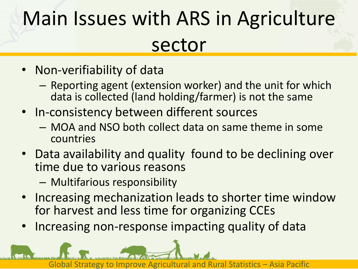# Main Issues with ARS in Agriculture sector

- Non-verifiability of data
	- Reporting agent (extension worker) and the unit for which data is collected (land holding/farmer) is not the same
- In-consistency between different sources
	- MOA and NSO both collect data on same theme in some countries
- Data availability and quality found to be declining over time due to various reasons
	- Multifarious responsibility
- Increasing mechanization leads to shorter time window for harvest and less time for organizing CCEs
- Increasing non-response impacting quality of data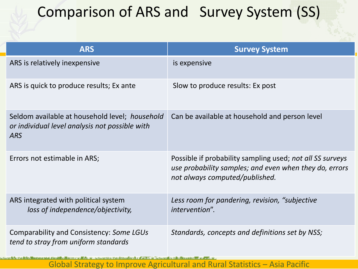### Comparison of ARS and Survey System (SS)

| <b>ARS</b>                                                                                                     | <b>Survey System</b>                                                                                                                                  |
|----------------------------------------------------------------------------------------------------------------|-------------------------------------------------------------------------------------------------------------------------------------------------------|
| ARS is relatively inexpensive                                                                                  | is expensive                                                                                                                                          |
| ARS is quick to produce results; Ex ante                                                                       | Slow to produce results: Ex post                                                                                                                      |
| Seldom available at household level; household<br>or individual level analysis not possible with<br><b>ARS</b> | Can be available at household and person level                                                                                                        |
| Errors not estimable in ARS;                                                                                   | Possible if probability sampling used; not all SS surveys<br>use probability samples; and even when they do, errors<br>not always computed/published. |
| ARS integrated with political system<br>loss of independence/objectivity,                                      | Less room for pandering, revision, "subjective<br>intervention".                                                                                      |
| Comparability and Consistency: Some LGUs<br>tend to stray from uniform standards                               | Standards, concepts and definitions set by NSS;                                                                                                       |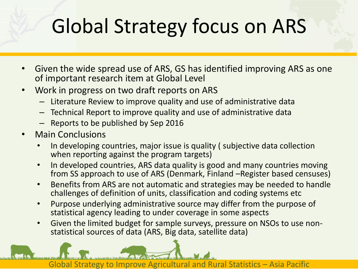## Global Strategy focus on ARS

- Given the wide spread use of ARS, GS has identified improving ARS as one of important research item at Global Level
- Work in progress on two draft reports on ARS
	- Literature Review to improve quality and use of administrative data
	- Technical Report to improve quality and use of administrative data
	- Reports to be published by Sep 2016
- Main Conclusions
	- In developing countries, major issue is quality ( subjective data collection when reporting against the program targets)
	- In developed countries, ARS data quality is good and many countries moving from SS approach to use of ARS (Denmark, Finland –Register based censuses)
	- Benefits from ARS are not automatic and strategies may be needed to handle challenges of definition of units, classification and coding systems etc
	- Purpose underlying administrative source may differ from the purpose of statistical agency leading to under coverage in some aspects
	- Given the limited budget for sample surveys, pressure on NSOs to use nonstatistical sources of data (ARS, Big data, satellite data)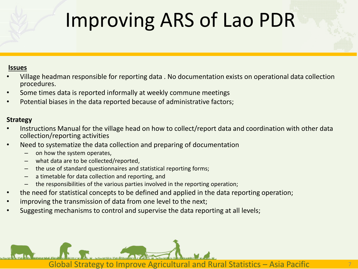## Improving ARS of Lao PDR

#### **Issues**

- Village headman responsible for reporting data . No documentation exists on operational data collection procedures.
- Some times data is reported informally at weekly commune meetings
- Potential biases in the data reported because of administrative factors;

#### **Strategy**

- Instructions Manual for the village head on how to collect/report data and coordination with other data collection/reporting activities
- Need to systematize the data collection and preparing of documentation
	- on how the system operates,
	- what data are to be collected/reported,
	- the use of standard questionnaires and statistical reporting forms;
	- a timetable for data collection and reporting, and
	- the responsibilities of the various parties involved in the reporting operation;
- the need for statistical concepts to be defined and applied in the data reporting operation;
- improving the transmission of data from one level to the next;
- Suggesting mechanisms to control and supervise the data reporting at all levels;

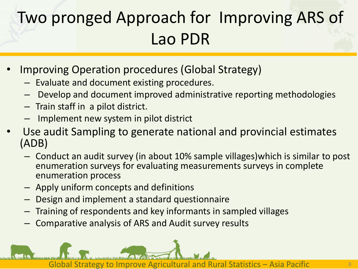### Two pronged Approach for Improving ARS of Lao PDR

- Improving Operation procedures (Global Strategy)
	- Evaluate and document existing procedures.
	- Develop and document improved administrative reporting methodologies
	- Train staff in a pilot district.
	- Implement new system in pilot district
- Use audit Sampling to generate national and provincial estimates (ADB)
	- Conduct an audit survey (in about 10% sample villages)which is similar to post enumeration surveys for evaluating measurements surveys in complete enumeration process
	- Apply uniform concepts and definitions
	- Design and implement a standard questionnaire
	- Training of respondents and key informants in sampled villages
	- Comparative analysis of ARS and Audit survey results

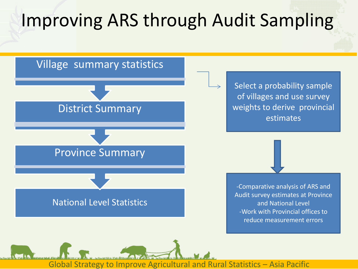### Improving ARS through Audit Sampling

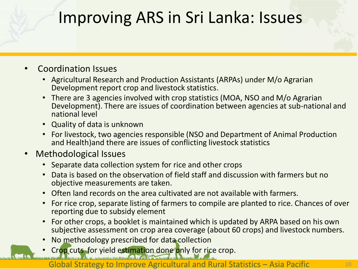### Improving ARS in Sri Lanka: Issues

### • Coordination Issues

- Agricultural Research and Production Assistants (ARPAs) under M/o Agrarian Development report crop and livestock statistics.
- There are 3 agencies involved with crop statistics (MOA, NSO and M/o Agrarian Development). There are issues of coordination between agencies at sub-national and national level
- Quality of data is unknown
- For livestock, two agencies responsible (NSO and Department of Animal Production and Health)and there are issues of conflicting livestock statistics
- Methodological Issues
	- Separate data collection system for rice and other crops
	- Data is based on the observation of field staff and discussion with farmers but no objective measurements are taken.
	- Often land records on the area cultivated are not available with farmers.
	- For rice crop, separate listing of farmers to compile are planted to rice. Chances of over reporting due to subsidy element
	- For other crops, a booklet is maintained which is updated by ARPA based on his own subjective assessment on crop area coverage (about 60 crops) and livestock numbers.
	- No methodology prescribed for data collection
	- Crop cuts for yield estimation done only for rice crop.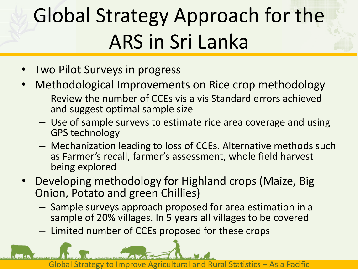# Global Strategy Approach for the ARS in Sri Lanka

- Two Pilot Surveys in progress
- Methodological Improvements on Rice crop methodology
	- Review the number of CCEs vis a vis Standard errors achieved and suggest optimal sample size
	- Use of sample surveys to estimate rice area coverage and using GPS technology
	- Mechanization leading to loss of CCEs. Alternative methods such as Farmer's recall, farmer's assessment, whole field harvest being explored
- Developing methodology for Highland crops (Maize, Big Onion, Potato and green Chillies)
	- Sample surveys approach proposed for area estimation in a sample of 20% villages. In 5 years all villages to be covered
	- Limited number of CCEs proposed for these crops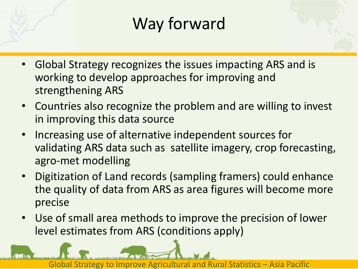### Way forward

- Global Strategy recognizes the issues impacting ARS and is working to develop approaches for improving and strengthening ARS
- Countries also recognize the problem and are willing to invest in improving this data source
- Increasing use of alternative independent sources for validating ARS data such as satellite imagery, crop forecasting, agro-met modelling
- Digitization of Land records (sampling framers) could enhance the quality of data from ARS as area figures will become more precise
- Use of small area methods to improve the precision of lower level estimates from ARS (conditions apply)